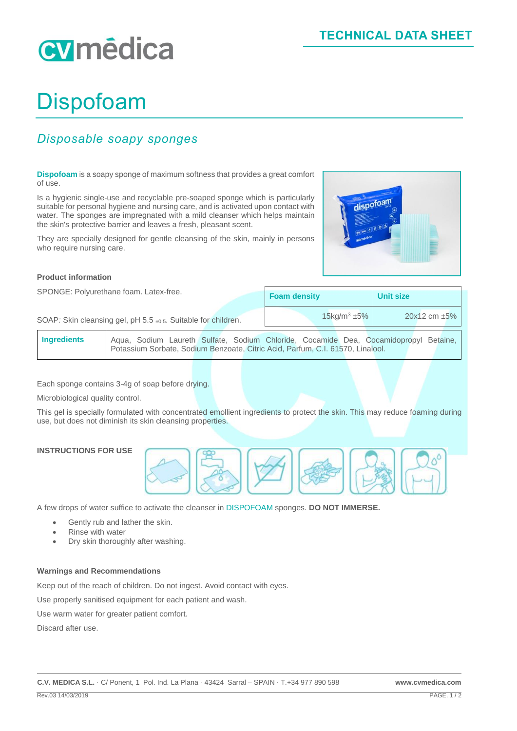# cymédica

## Dispofoam

### *Disposable soapy sponges*

**Dispofoam** is a soapy sponge of maximum softness that provides a great comfort of use.

Is a hygienic single-use and recyclable pre-soaped sponge which is particularly suitable for personal hygiene and nursing care, and is activated upon contact with water. The sponges are impregnated with a mild cleanser which helps maintain the skin's protective barrier and leaves a fresh, pleasant scent.

They are specially designed for gentle cleansing of the skin, mainly in persons who require nursing care.



SPONGE: Polyurethane foam. Latex-free.

|         | <b>Foam density</b>        | <b>Unit size</b> |  |
|---------|----------------------------|------------------|--|
| لمصدرات | $15 \text{kg/m}^3 \pm 5\%$ | 20x12 cm ±5%     |  |

dispofoam

SOAP: Skin cleansing gel, pH 5.5 ±0,5. Suitable for children.

**Ingredients** Aqua, Sodium Laureth Sulfate, Sodium Chloride, Cocamide Dea, Cocamidopropyl Betaine, Potassium Sorbate, Sodium Benzoate, Citric Acid, Parfum, C.I. 61570, Linalool.

Each sponge contains 3-4g of soap before drying.

Microbiological quality control.

This gel is specially formulated with concentrated emollient ingredients to protect the skin. This may reduce foaming during use, but does not diminish its skin cleansing properties.

#### **INSTRUCTIONS FOR USE**



A few drops of water suffice to activate the cleanser in DISPOFOAM sponges. **DO NOT IMMERSE.**

- Gently rub and lather the skin.
- Rinse with water
- Dry skin thoroughly after washing.

#### **Warnings and Recommendations**

Keep out of the reach of children. Do not ingest. Avoid contact with eyes.

Use properly sanitised equipment for each patient and wash.

Use warm water for greater patient comfort.

Discard after use.